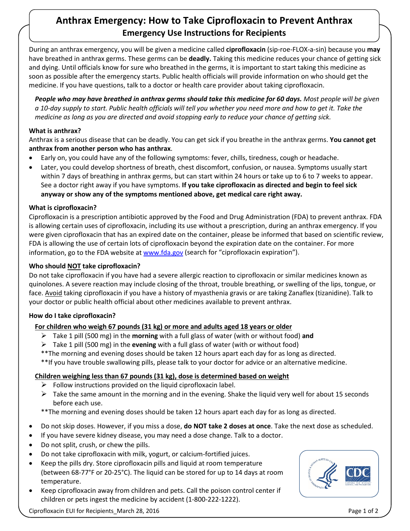# **Anthrax Emergency: How to Take Ciprofloxacin to Prevent Anthrax Emergency Use Instructions for Recipients**

During an anthrax emergency, you will be given a medicine called **ciprofloxacin** (sip-roe-FLOX-a-sin) because you **may** have breathed in anthrax germs. These germs can be **deadly.** Taking this medicine reduces your chance of getting sick and dying. Until officials know for sure who breathed in the germs, it is important to start taking this medicine as soon as possible after the emergency starts. Public health officials will provide information on who should get the medicine. If you have questions, talk to a doctor or health care provider about taking ciprofloxacin.

*People who may have breathed in anthrax germs should take this medicine for 60 days. Most people will be given a 10-day supply to start. Public health officials will tell you whether you need more and how to get it. Take the medicine as long as you are directed and avoid stopping early to reduce your chance of getting sick.* 

## **What is anthrax?**

Anthrax is a serious disease that can be deadly. You can get sick if you breathe in the anthrax germs. **You cannot get anthrax from another person who has anthrax**.

- Early on, you could have any of the following symptoms: fever, chills, tiredness, cough or headache.
- Later, you could develop shortness of breath, chest discomfort, confusion, or nausea. Symptoms usually start within 7 days of breathing in anthrax germs, but can start within 24 hours or take up to 6 to 7 weeks to appear. See a doctor right away if you have symptoms. **If you take ciprofloxacin as directed and begin to feel sick anyway or show any of the symptoms mentioned above, get medical care right away.**

## **What is ciprofloxacin?**

Ciprofloxacin is a prescription antibiotic approved by the Food and Drug Administration (FDA) to prevent anthrax. FDA is allowing certain uses of ciprofloxacin, including its use without a prescription, during an anthrax emergency. If you were given ciprofloxacin that has an expired date on the container, please be informed that based on scientific review, FDA is allowing the use of certain lots of ciprofloxacin beyond the expiration date on the container. For more information, go to the FDA website at www.fda.gov (search for "ciprofloxacin expiration").

## **Who should NOT take ciprofloxacin?**

Do not take ciprofloxacin if you have had a severe allergic reaction to ciprofloxacin or similar medicines known as quinolones. A severe reaction may include closing of the throat, trouble breathing, or swelling of the lips, tongue, or face. Avoid taking ciprofloxacin if you have a history of myasthenia gravis or are taking Zanaflex (tizanidine). Talk to your doctor or public health official about other medicines available to prevent anthrax.

## **How do I take ciprofloxacin?**

# **For children who weigh 67 pounds (31 kg) or more and adults aged 18 years or older**

- Take 1 pill (500 mg) in the **morning** with a full glass of water (with or without food) **and**
- Take 1 pill (500 mg) in the **evening** with a full glass of water (with or without food)
- \*\*The morning and evening doses should be taken 12 hours apart each day for as long as directed.

\*\*If you have trouble swallowing pills, please talk to your doctor for advice or an alternative medicine.

# **Children weighing less than 67 pounds (31 kg), dose is determined based on weight**

- $\triangleright$  Follow instructions provided on the liquid ciprofloxacin label.
- $\triangleright$  Take the same amount in the morning and in the evening. Shake the liquid very well for about 15 seconds before each use.

\*\*The morning and evening doses should be taken 12 hours apart each day for as long as directed.

- Do not skip doses. However, if you miss a dose, **do NOT take 2 doses at once**. Take the next dose as scheduled.
- If you have severe kidney disease, you may need a dose change. Talk to a doctor.
- Do not split, crush, or chew the pills.
- Do not take ciprofloxacin with milk, yogurt, or calcium-fortified juices.
- Keep the pills dry. Store ciprofloxacin pills and liquid at room temperature (between 68-77°F or 20-25°C). The liquid can be stored for up to 14 days at room temperature.
- Keep ciprofloxacin away from children and pets. Call the poison control center if children or pets ingest the medicine by accident (1-800-222-1222).



Ciprofloxacin EUI for Recipients March 28, 2016 Page 1 of 2